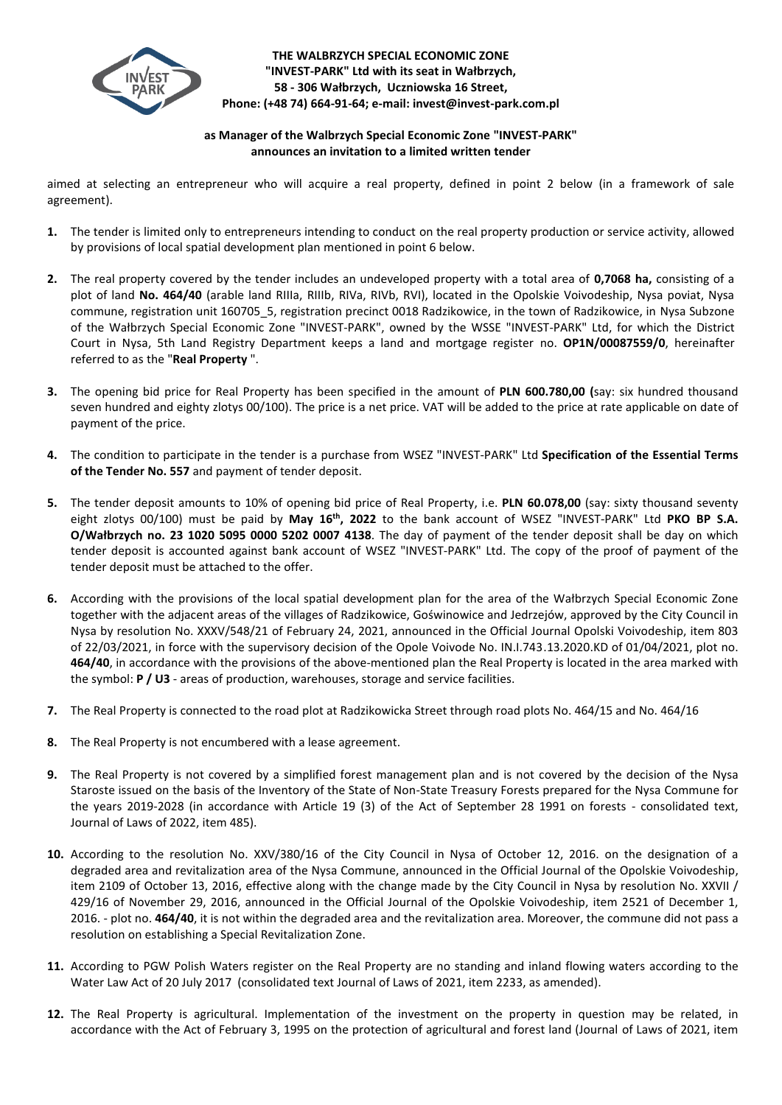

**THE WALBRZYCH SPECIAL ECONOMIC ZONE "INVEST-PARK" Ltd with its seat in Wałbrzych, 58 - 306 Wałbrzych, Uczniowska 16 Street, Phone: (+48 74) 664-91-64; e-mail: invest@invest-park.com.pl**

## **as Manager of the Walbrzych Special Economic Zone "INVEST-PARK" announces an invitation to a limited written tender**

aimed at selecting an entrepreneur who will acquire a real property, defined in point 2 below (in a framework of sale agreement).

- **1.** The tender is limited only to entrepreneurs intending to conduct on the real property production or service activity, allowed by provisions of local spatial development plan mentioned in point 6 below.
- **2.** The real property covered by the tender includes an undeveloped property with a total area of **0,7068 ha,** consisting of a plot of land **No. 464/40** (arable land RIIIa, RIIIb, RIVa, RIVb, RVI), located in the Opolskie Voivodeship, Nysa poviat, Nysa commune, registration unit 160705 5, registration precinct 0018 Radzikowice, in the town of Radzikowice, in Nysa Subzone of the Wałbrzych Special Economic Zone "INVEST-PARK", owned by the WSSE "INVEST-PARK" Ltd, for which the District Court in Nysa, 5th Land Registry Department keeps a land and mortgage register no. **OP1N/00087559/0**, hereinafter referred to as the "**Real Property** ".
- **3.** The opening bid price for Real Property has been specified in the amount of **PLN 600.780,00 (**say: six hundred thousand seven hundred and eighty zlotys 00/100). The price is a net price. VAT will be added to the price at rate applicable on date of payment of the price.
- **4.** The condition to participate in the tender is a purchase from WSEZ "INVEST-PARK" Ltd **Specification of the Essential Terms of the Tender No. 557** and payment of tender deposit.
- **5.** The tender deposit amounts to 10% of opening bid price of Real Property, i.e. **PLN 60.078,00** (say: sixty thousand seventy eight zlotys 00/100) must be paid by May 16<sup>th</sup>, 2022 to the bank account of WSEZ "INVEST-PARK" Ltd PKO BP S.A. **O/Wałbrzych no. 23 1020 5095 0000 5202 0007 4138**. The day of payment of the tender deposit shall be day on which tender deposit is accounted against bank account of WSEZ "INVEST-PARK" Ltd. The copy of the proof of payment of the tender deposit must be attached to the offer.
- **6.** According with the provisions of the local spatial development plan for the area of the Wałbrzych Special Economic Zone together with the adjacent areas of the villages of Radzikowice, Goświnowice and Jedrzejów, approved by the City Council in Nysa by resolution No. XXXV/548/21 of February 24, 2021, announced in the Official Journal Opolski Voivodeship, item 803 of 22/03/2021, in force with the supervisory decision of the Opole Voivode No. IN.I.743.13.2020.KD of 01/04/2021, plot no. **464/40**, in accordance with the provisions of the above-mentioned plan the Real Property is located in the area marked with the symbol: **P / U3** - areas of production, warehouses, storage and service facilities.
- **7.** The Real Property is connected to the road plot at Radzikowicka Street through road plots No. 464/15 and No. 464/16
- **8.** The Real Property is not encumbered with a lease agreement.
- **9.** The Real Property is not covered by a simplified forest management plan and is not covered by the decision of the Nysa Staroste issued on the basis of the Inventory of the State of Non-State Treasury Forests prepared for the Nysa Commune for the years 2019-2028 (in accordance with Article 19 (3) of the Act of September 28 1991 on forests - consolidated text, Journal of Laws of 2022, item 485).
- **10.** According to the resolution No. XXV/380/16 of the City Council in Nysa of October 12, 2016. on the designation of a degraded area and revitalization area of the Nysa Commune, announced in the Official Journal of the Opolskie Voivodeship, item 2109 of October 13, 2016, effective along with the change made by the City Council in Nysa by resolution No. XXVII / 429/16 of November 29, 2016, announced in the Official Journal of the Opolskie Voivodeship, item 2521 of December 1, 2016. - plot no. **464/40**, it is not within the degraded area and the revitalization area. Moreover, the commune did not pass a resolution on establishing a Special Revitalization Zone.
- **11.** According to PGW Polish Waters register on the Real Property are no standing and inland flowing waters according to the Water Law Act of 20 July 2017 (consolidated text Journal of Laws of 2021, item 2233, as amended).
- **12.** The Real Property is agricultural. Implementation of the investment on the property in question may be related, in accordance with the Act of February 3, 1995 on the protection of agricultural and forest land (Journal of Laws of 2021, item